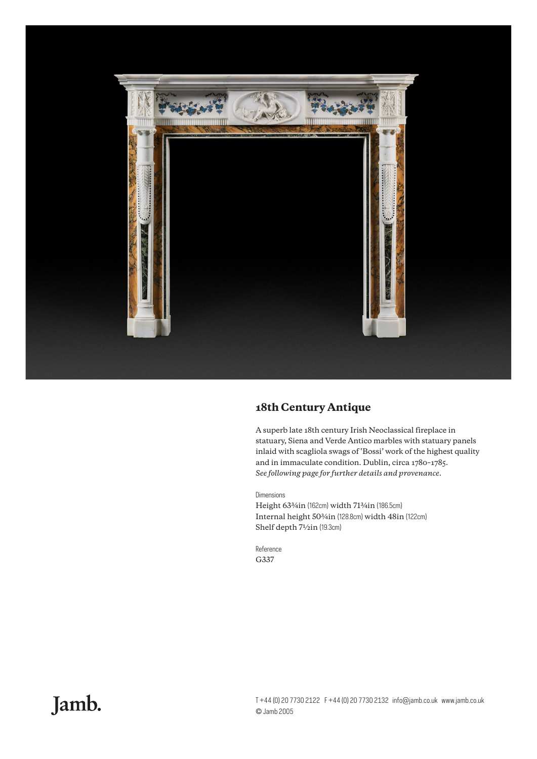

## **18th Century Antique**

A superb late 18th century Irish Neoclassical fireplace in statuary, Siena and Verde Antico marbles with statuary panels inlaid with scagliola swags of 'Bossi' work of the highest quality and in immaculate condition. Dublin, circa 1780–1785. *See following page for further details and provenance.*

## Dimensions

Height 63¾in (162cm) width 71¾in (186.5cm) Internal height 50¾in (128.8cm) width 48in (122cm) Shelf depth  $7\frac{1}{2}$ in (19.3cm)

Reference G337